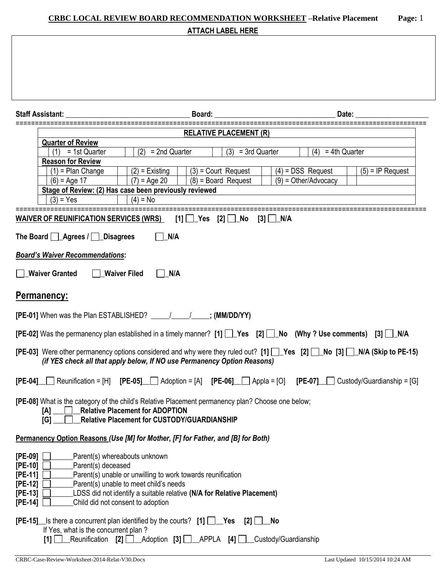# **CRBC LOCAL REVIEW BOARD RECOMMENDATION WORKSHEET –Relative Placement Page:** 1 **ATTACH LABEL HERE**

|                                                                                                                                                           | Board: Date:                                                                                                                                                                                                                                                                |  |  |  |  |
|-----------------------------------------------------------------------------------------------------------------------------------------------------------|-----------------------------------------------------------------------------------------------------------------------------------------------------------------------------------------------------------------------------------------------------------------------------|--|--|--|--|
| <b>Staff Assistant:</b>                                                                                                                                   |                                                                                                                                                                                                                                                                             |  |  |  |  |
|                                                                                                                                                           | <b>RELATIVE PLACEMENT (R)</b>                                                                                                                                                                                                                                               |  |  |  |  |
|                                                                                                                                                           | <b>Quarter of Review</b>                                                                                                                                                                                                                                                    |  |  |  |  |
|                                                                                                                                                           | $(2) = 2nd$ Quarter<br>$(3) = 3rd$ Quarter<br>$(4) = 4$ th Quarter<br>= 1st Quarter<br>(1)<br><b>Reason for Review</b>                                                                                                                                                      |  |  |  |  |
|                                                                                                                                                           | $(1)$ = Plan Change<br>$(3)$ = Court Request<br>$(4)$ = DSS Request<br>$(5)$ = IP Request<br>$(2)$ = Existing                                                                                                                                                               |  |  |  |  |
|                                                                                                                                                           | $\sqrt{(7)}$ = Age 20<br>$(8)$ = Board Request<br>$(9) = Other/Advocacy$<br>$(6)$ = Age 17                                                                                                                                                                                  |  |  |  |  |
|                                                                                                                                                           | Stage of Review: (2) Has case been previously reviewed                                                                                                                                                                                                                      |  |  |  |  |
|                                                                                                                                                           | $(4) = No$<br>$(3) = Yes$                                                                                                                                                                                                                                                   |  |  |  |  |
|                                                                                                                                                           | WAIVER OF REUNIFICATION SERVICES (WRS) $[1]$ Yes $[2]$ No<br>$[3]$ N/A                                                                                                                                                                                                      |  |  |  |  |
| The Board <b>Agrees</b> / <b>Disagrees</b><br>N/A<br><b>Board's Waiver Recommendations:</b><br><b>Waiver Granted</b><br><b>Waiver Filed</b><br>$\Box$ N/A |                                                                                                                                                                                                                                                                             |  |  |  |  |
|                                                                                                                                                           | <b>Permanency:</b>                                                                                                                                                                                                                                                          |  |  |  |  |
|                                                                                                                                                           | [PE-01] When was the Plan ESTABLISHED? ___________________; (MM/DD/YY)                                                                                                                                                                                                      |  |  |  |  |
|                                                                                                                                                           | [PE-02] Was the permanency plan established in a timely manner? [1] [Surfer Lagranger 2] [No (Why? Use comments) [3] [Surfer                                                                                                                                                |  |  |  |  |
|                                                                                                                                                           | [PE-03] Were other permanency options considered and why were they ruled out? [1] Yes [2] No [3] N/A (Skip to PE-15)<br>(if YES check all that apply below, If NO use Permanency Option Reasons)                                                                            |  |  |  |  |
|                                                                                                                                                           | $[PE-04]$ Reunification = [H] $[PE-05]$ Adoption = [A] $[PE-06]$ Appla = [O] $[PE-07]$ Custody/Guardianship = [G]                                                                                                                                                           |  |  |  |  |
|                                                                                                                                                           | [PE-08] What is the category of the child's Relative Placement permanency plan? Choose one below;<br><b>Relative Placement for ADOPTION</b><br>[A]<br>[G]<br>_Relative Placement for CUSTODY/GUARDIANSHIP                                                                   |  |  |  |  |
|                                                                                                                                                           | Permanency Option Reasons (Use [M] for Mother, [F] for Father, and [B] for Both)                                                                                                                                                                                            |  |  |  |  |
| $[PE-09]$<br>$[PE-10]$<br>$[PE-11]$<br>$[PE-12]$<br>$[PE-13]$<br>$[PE-14]$                                                                                | Parent(s) whereabouts unknown<br>Parent(s) deceased<br>Parent(s) unable or unwilling to work towards reunification<br>Parent(s) unable to meet child's needs<br>LDSS did not identify a suitable relative (N/A for Relative Placement)<br>Child did not consent to adoption |  |  |  |  |
|                                                                                                                                                           | <b>[PE-15]</b> Is there a concurrent plan identified by the courts? $[1]$ $\Box$ Yes<br>No<br>[2]<br>If Yes, what is the concurrent plan?<br>[1]                                                                                                                            |  |  |  |  |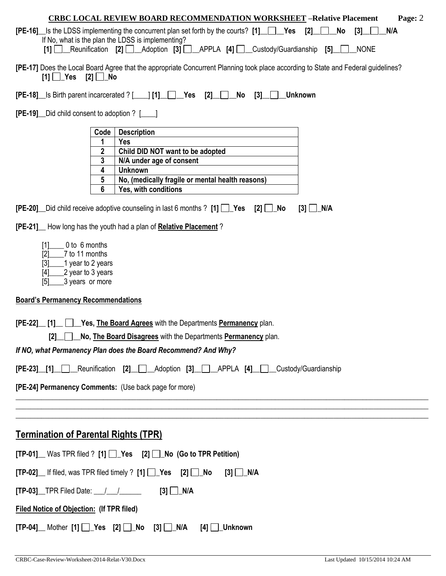| <b>CRBC LOCAL REVIEW BOARD RECOMMENDATION WORKSHEET -Relative Placement</b><br>Page: 2                                                    |                                                                                                                                                                       |                                                                                                                        |  |  |  |
|-------------------------------------------------------------------------------------------------------------------------------------------|-----------------------------------------------------------------------------------------------------------------------------------------------------------------------|------------------------------------------------------------------------------------------------------------------------|--|--|--|
| <b>[PE-16]</b> Is the LDSS implementing the concurrent plan set forth by the courts? $[1]$<br>$\mathsf{I2}$<br>No<br>N/A<br>[3]           |                                                                                                                                                                       |                                                                                                                        |  |  |  |
| If No, what is the plan the LDSS is implementing?<br>[1] Reunification [2] Adoption [3] APPLA [4] Custody/Guardianship [5]<br><b>NONE</b> |                                                                                                                                                                       |                                                                                                                        |  |  |  |
|                                                                                                                                           | [PE-17] Does the Local Board Agree that the appropriate Concurrent Planning took place according to State and Federal guidelines?<br>$[1]$ $\Box$ Yes $[2]$ $\Box$ No |                                                                                                                        |  |  |  |
|                                                                                                                                           |                                                                                                                                                                       | <b>Unknown</b><br>$[PE-18]$ Is Birth parent incarcerated ? [1] $\Box$ Yes [2] $\Box$ No<br>[3]                         |  |  |  |
| <b>[PE-19]</b> Did child consent to adoption ? [169]                                                                                      |                                                                                                                                                                       |                                                                                                                        |  |  |  |
|                                                                                                                                           | Code                                                                                                                                                                  | <b>Description</b>                                                                                                     |  |  |  |
|                                                                                                                                           | 1                                                                                                                                                                     | <b>Yes</b>                                                                                                             |  |  |  |
|                                                                                                                                           | 2<br>3                                                                                                                                                                | Child DID NOT want to be adopted<br>N/A under age of consent                                                           |  |  |  |
|                                                                                                                                           | 4                                                                                                                                                                     | <b>Unknown</b>                                                                                                         |  |  |  |
|                                                                                                                                           | 5                                                                                                                                                                     | No, (medically fragile or mental health reasons)                                                                       |  |  |  |
|                                                                                                                                           | 6                                                                                                                                                                     | Yes, with conditions                                                                                                   |  |  |  |
|                                                                                                                                           |                                                                                                                                                                       | <b>[PE-20]</b> Did child receive adoptive counseling in last 6 months ? $[1]$ $[$ Yes $[2]$ $[$ No<br>$[3]$ $\Box$ N/A |  |  |  |
|                                                                                                                                           |                                                                                                                                                                       | <b>[PE-21]</b> How long has the youth had a plan of <b>Relative Placement</b> ?                                        |  |  |  |
| 0 to 6 months<br>[1]<br>7 to 11 months<br>[2]<br>[3]<br>1 year to 2 years<br>2 year to 3 years<br>$[4]$<br>3 years or more<br>$\sqrt{5}$  |                                                                                                                                                                       |                                                                                                                        |  |  |  |
| <b>Board's Permanency Recommendations</b>                                                                                                 |                                                                                                                                                                       |                                                                                                                        |  |  |  |
| $[PE-22]$<br><b>F11</b>                                                                                                                   |                                                                                                                                                                       | Yes, The Board Agrees with the Departments Permanency plan.                                                            |  |  |  |
| [2] No, The Board Disagrees with the Departments Permanency plan.                                                                         |                                                                                                                                                                       |                                                                                                                        |  |  |  |
| If NO, what Permanency Plan does the Board Recommend? And Why?                                                                            |                                                                                                                                                                       |                                                                                                                        |  |  |  |
| [PE-23] [1] Reunification [2] Adoption [3] APPLA [4] Custody/Guardianship                                                                 |                                                                                                                                                                       |                                                                                                                        |  |  |  |
| [PE-24] Permanency Comments: (Use back page for more)                                                                                     |                                                                                                                                                                       |                                                                                                                        |  |  |  |
|                                                                                                                                           |                                                                                                                                                                       |                                                                                                                        |  |  |  |
| <b>Termination of Parental Rights (TPR)</b>                                                                                               |                                                                                                                                                                       |                                                                                                                        |  |  |  |
|                                                                                                                                           |                                                                                                                                                                       | $[TP-01]$ Was TPR filed ? $[1]$ $\Box$ Yes $[2]$ $\Box$ No (Go to TPR Petition)                                        |  |  |  |
| [TP-02] If filed, was TPR filed timely ? [1] D Yes [2] D No<br>$[3]$ $\Box$ N/A                                                           |                                                                                                                                                                       |                                                                                                                        |  |  |  |
| $[TP-03]$ TPR Filed Date: $\_\_\_\_\_\_\_\_\_\$ [3] $\_\_\_\_\_\_\_\_\_\_\_\$                                                             |                                                                                                                                                                       |                                                                                                                        |  |  |  |
| <b>Filed Notice of Objection: (If TPR filed)</b>                                                                                          |                                                                                                                                                                       |                                                                                                                        |  |  |  |
| $[TP-04]$ Mother $[1]$ $\rightarrow$ Yes $[2]$ $\rightarrow$ No $[3]$ $\rightarrow$ N/A<br>[4] <b><i>∐_</i>Unknown</b>                    |                                                                                                                                                                       |                                                                                                                        |  |  |  |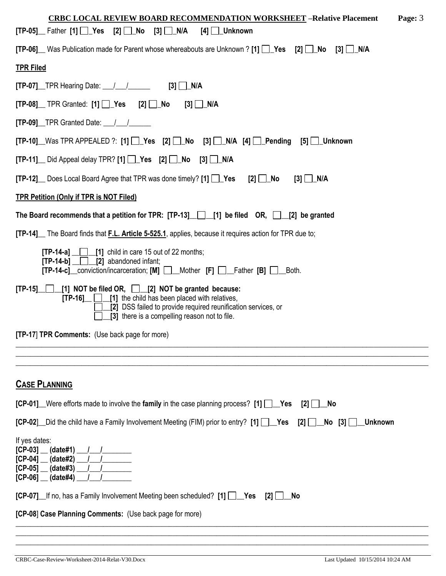| <b>CRBC LOCAL REVIEW BOARD RECOMMENDATION WORKSHEET - Relative Placement</b><br>Page: 3                                                                                                                                                 |
|-----------------------------------------------------------------------------------------------------------------------------------------------------------------------------------------------------------------------------------------|
| $[TP-05]$ Father $[1]$ $\begin{bmatrix} 2 \end{bmatrix}$ No $[3]$ N/A<br>[4] ∐_Unknown                                                                                                                                                  |
| <b>[TP-06]</b> Was Publication made for Parent whose whereabouts are Unknown ? [1] $\Box$ Yes [2] $\Box$ No [3] $\Box$ N/A                                                                                                              |
| <b>TPR Filed</b>                                                                                                                                                                                                                        |
| $[TP-07]$ TPR Hearing Date: $\angle$ / $\angle$ [3] N/A                                                                                                                                                                                 |
| $[TP-08]$ TPR Granted: $[1]$ $\Box$ Yes $[2]$ $\Box$ No<br>[3] <u>□</u> _N/A                                                                                                                                                            |
| $[TP-09]$ TPR Granted Date: $\frac{1}{\sqrt{2}}$                                                                                                                                                                                        |
| $[TP-10]$ Was TPR APPEALED ?: $[1]$ $[2]$ Yes $[2]$ $[3]$ $[3]$ $[3]$ $[4]$ $[4]$ $[2]$ Pending $[5]$ $[3]$ Unknown                                                                                                                     |
| $[TP-11]$ Did Appeal delay TPR? $[1]$ $\Box$ Yes $[2]$ $\Box$ No $[3]$ $\Box$ N/A                                                                                                                                                       |
| <b>[TP-12]</b> Does Local Board Agree that TPR was done timely? $[1]$ $[$ Yes $[2]$ $[$ No<br>$[3]$ N/A                                                                                                                                 |
| <b>TPR Petition (Only if TPR is NOT Filed)</b>                                                                                                                                                                                          |
| The Board recommends that a petition for TPR: $[TP-13]$ [1] be filed OR, [2] be granted                                                                                                                                                 |
| [TP-14] The Board finds that F.L. Article 5-525.1, applies, because it requires action for TPR due to;                                                                                                                                  |
| $[TP-14-a]$ [1] child in care 15 out of 22 months;<br>$[TP-14-b]$ [2] abandoned infant;<br>[TP-14-c]_conviction/incarceration; [M] __Mother [F] __Father [B] __Both.                                                                    |
| [TP-15] [1] NOT be filed OR, [2] NOT be granted because:<br>$[TP-16]$ $[1]$ the child has been placed with relatives,<br>[2] DSS failed to provide required reunification services, or<br>[3] there is a compelling reason not to file. |
| [TP-17] TPR Comments: (Use back page for more)                                                                                                                                                                                          |
|                                                                                                                                                                                                                                         |
|                                                                                                                                                                                                                                         |
| <b>CASE PLANNING</b>                                                                                                                                                                                                                    |
| <b>[CP-01]</b> Were efforts made to involve the family in the case planning process? [1] Ves<br>$[2]$ $\Box$ No                                                                                                                         |
| [CP-02] Did the child have a Family Involvement Meeting (FIM) prior to entry? [1] Yes [2] No [3] Unknown                                                                                                                                |
| If yes dates:<br>$[CP-03]$ (date#1) $1$<br>$[CP-04]$ $(date#2)$ $1$<br>$[CP-05]$ (date#3) $/$<br>$[CP-06]$ (date#4)                                                                                                                     |
| <b>[CP-07]</b> If no, has a Family Involvement Meeting been scheduled? [1] <b>The Yes</b><br>$[2]$ $\Box$<br>No                                                                                                                         |
| [CP-08] Case Planning Comments: (Use back page for more)                                                                                                                                                                                |
|                                                                                                                                                                                                                                         |

\_\_\_\_\_\_\_\_\_\_\_\_\_\_\_\_\_\_\_\_\_\_\_\_\_\_\_\_\_\_\_\_\_\_\_\_\_\_\_\_\_\_\_\_\_\_\_\_\_\_\_\_\_\_\_\_\_\_\_\_\_\_\_\_\_\_\_\_\_\_\_\_\_\_\_\_\_\_\_\_\_\_\_\_\_\_\_\_\_\_\_\_\_\_\_\_\_\_\_\_\_\_\_\_\_\_\_\_\_\_\_\_\_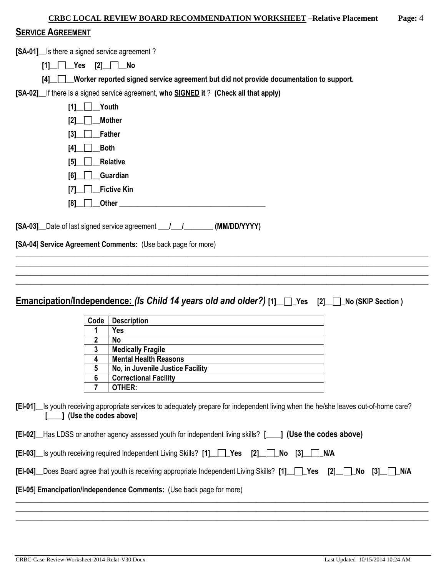| <b>CRBC LOCAL REVIEW BOARD RECOMMENDATION WORKSHEET -Relative Placement</b>                | Page: $4$ |
|--------------------------------------------------------------------------------------------|-----------|
| <b>SERVICE AGREEMENT</b>                                                                   |           |
| [SA-01] Is there a signed service agreement?                                               |           |
| $[1]$ $\Box$ Yes $[2]$ $\Box$ No                                                           |           |
| [4] Worker reported signed service agreement but did not provide documentation to support. |           |
| [SA-02] If there is a signed service agreement, who SIGNED it? (Check all that apply)      |           |
| Youth                                                                                      |           |
| <b>Mother</b><br>[2]                                                                       |           |

| Both<br>[4]         |  |
|---------------------|--|
| $[5]$ Relative      |  |
| $[6]$ Guardian      |  |
| $[7]$ Fictive Kin   |  |
| <b>Other</b><br>[8] |  |

**[SA-03]\_\_**Date of last signed service agreement **\_\_\_/\_\_\_/\_\_\_\_\_\_\_\_ (MM/DD/YYYY)**

**[SA-04**] **Service Agreement Comments:** (Use back page for more)

 $[3]$   $\Box$  **Father** 

**Emancipation/Independence:** *(Is Child 14 years old and older?)* **[1]\_\_ \_Yes [2]\_\_ \_No (SKIP Section )**

\_\_\_\_\_\_\_\_\_\_\_\_\_\_\_\_\_\_\_\_\_\_\_\_\_\_\_\_\_\_\_\_\_\_\_\_\_\_\_\_\_\_\_\_\_\_\_\_\_\_\_\_\_\_\_\_\_\_\_\_\_\_\_\_\_\_\_\_\_\_\_\_\_\_\_\_\_\_\_\_\_\_\_\_\_\_\_\_\_\_\_\_\_\_\_\_\_\_\_\_\_\_\_\_\_\_\_\_\_\_\_\_\_

\_\_\_\_\_\_\_\_\_\_\_\_\_\_\_\_\_\_\_\_\_\_\_\_\_\_\_\_\_\_\_\_\_\_\_\_\_\_\_\_\_\_\_\_\_\_\_\_\_\_\_\_\_\_\_\_\_\_\_\_\_\_\_\_\_\_\_\_\_\_\_\_\_\_\_\_\_\_\_\_\_\_\_\_\_\_\_\_\_\_\_\_\_\_\_\_\_\_\_\_\_\_\_\_\_\_\_\_\_\_\_\_\_ \_\_\_\_\_\_\_\_\_\_\_\_\_\_\_\_\_\_\_\_\_\_\_\_\_\_\_\_\_\_\_\_\_\_\_\_\_\_\_\_\_\_\_\_\_\_\_\_\_\_\_\_\_\_\_\_\_\_\_\_\_\_\_\_\_\_\_\_\_\_\_\_\_\_\_\_\_\_\_\_\_\_\_\_\_\_\_\_\_\_\_\_\_\_\_\_\_\_\_\_\_\_\_\_\_\_\_\_\_\_\_\_\_

| Code | <b>Description</b>               |
|------|----------------------------------|
|      | Yes                              |
| 2    | No                               |
| 3    | <b>Medically Fragile</b>         |
| 4    | <b>Mental Health Reasons</b>     |
| 5    | No, in Juvenile Justice Facility |
| 6    | <b>Correctional Facility</b>     |
|      | OTHER:                           |

**[EI-01]\_\_**Is youth receiving appropriate services to adequately prepare for independent living when the he/she leaves out-of-home care? **[\_\_\_\_] (Use the codes above)**

\_\_\_\_\_\_\_\_\_\_\_\_\_\_\_\_\_\_\_\_\_\_\_\_\_\_\_\_\_\_\_\_\_\_\_\_\_\_\_\_\_\_\_\_\_\_\_\_\_\_\_\_\_\_\_\_\_\_\_\_\_\_\_\_\_\_\_\_\_\_\_\_\_\_\_\_\_\_\_\_\_\_\_\_\_\_\_\_\_\_\_\_\_\_\_\_\_\_\_\_\_\_\_\_\_\_\_\_\_\_\_\_\_ \_\_\_\_\_\_\_\_\_\_\_\_\_\_\_\_\_\_\_\_\_\_\_\_\_\_\_\_\_\_\_\_\_\_\_\_\_\_\_\_\_\_\_\_\_\_\_\_\_\_\_\_\_\_\_\_\_\_\_\_\_\_\_\_\_\_\_\_\_\_\_\_\_\_\_\_\_\_\_\_\_\_\_\_\_\_\_\_\_\_\_\_\_\_\_\_\_\_\_\_\_\_\_\_\_\_\_\_\_\_\_\_\_ \_\_\_\_\_\_\_\_\_\_\_\_\_\_\_\_\_\_\_\_\_\_\_\_\_\_\_\_\_\_\_\_\_\_\_\_\_\_\_\_\_\_\_\_\_\_\_\_\_\_\_\_\_\_\_\_\_\_\_\_\_\_\_\_\_\_\_\_\_\_\_\_\_\_\_\_\_\_\_\_\_\_\_\_\_\_\_\_\_\_\_\_\_\_\_\_\_\_\_\_\_\_\_\_\_\_\_\_\_\_\_\_\_

| 1 (Use the codes above)<br><b>[EI-02]</b> Has LDSS or another agency assessed youth for independent living skills? [ |
|----------------------------------------------------------------------------------------------------------------------|
| [EI-03] Is youth receiving required Independent Living Skills? [1] Yes [2] No [3]   NA                               |
| [EI-04] Does Board agree that youth is receiving appropriate Independent Living Skills? [1] Pes [2] No [3] N/A       |

### **[EI-05**] **Emancipation/Independence Comments:** (Use back page for more)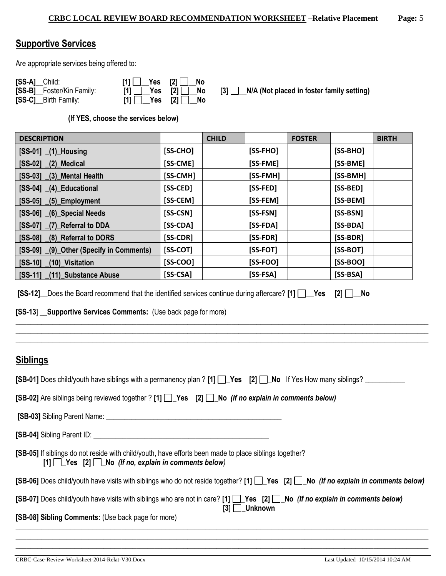## **Supportive Services**

Are appropriate services being offered to:

| [SS-A] Child:             | $[1]$ $\Box$ Yes $[2]$ $\Box$ No                                                                                   |  |
|---------------------------|--------------------------------------------------------------------------------------------------------------------|--|
| [SS-B] Foster/Kin Family: | $[1]$ $\Box$ Yes $[2]$ $\Box$ No                                                                                   |  |
| [SS-C] Birth Family:      | $[1]$ $\begin{array}{ c c c c c } \hline \end{array}$ Yes $[2]$ $\begin{array}{ c c c c c } \hline \end{array}$ No |  |

**[3] \_\_N/A (Not placed in foster family setting)** 

**(If YES, choose the services below)** 

| <b>DESCRIPTION</b>                      |            | <b>CHILD</b> |            | <b>FOSTER</b> |            | <b>BIRTH</b> |
|-----------------------------------------|------------|--------------|------------|---------------|------------|--------------|
| $[SS-01]$ $(1)$ Housing                 | $[SS-CHO]$ |              | $[SS-FHO]$ |               | $[SS-BHO]$ |              |
| $[SS-02]$<br>$(2)$ Medical              | [SS-CME]   |              | [SS-FME]   |               | [SS-BME]   |              |
| [SS-03] (3) Mental Health               | [SS-CMH]   |              | [SS-FMH]   |               | [SS-BMH]   |              |
| [SS-04] (4) Educational                 | [SS-CED]   |              | [SS-FED]   |               | [SS-BED]   |              |
| $[SS-05]$ $(5)$ Employment              | [SS-CEM]   |              | [SS-FEM]   |               | [SS-BEM]   |              |
| [SS-06] (6) Special Needs               | [SS-CSN]   |              | [SS-FSN]   |               | [SS-BSN]   |              |
| [SS-07] (7) Referral to DDA             | [SS-CDA]   |              | $[SS-FDA]$ |               | [SS-BDA]   |              |
| [SS-08] (8) Referral to DORS            | [SS-CDR]   |              | $[SS-FDR]$ |               | [SS-BDR]   |              |
| [SS-09] (9) Other (Specify in Comments) | [SS-COT]   |              | $[SS-FOT]$ |               | $[SS-BOT]$ |              |
| $[SS-10]$<br>(10) Visitation            | $[SS-COO]$ |              | $[SS-FOO]$ |               | $[SS-BOO]$ |              |
| [SS-11] (11) Substance Abuse            | $[SS-CSA]$ |              | $[SS-FSA]$ |               | $[SS-BSA]$ |              |

**[SS-12]\_\_**Does the Board recommend that the identified services continue during aftercare? **[1] \_\_Yes [2] \_\_No** 

**[SS-13**] \_\_**Supportive Services Comments:** (Use back page for more)

# **Siblings**

| [SB-01] Does child/youth have siblings with a permanency plan ? [1] [[Nes [2] [[No If Yes How many siblings? <u>section</u>                                     |
|-----------------------------------------------------------------------------------------------------------------------------------------------------------------|
| [SB-02] Are siblings being reviewed together ? [1] $\Box$ Yes [2] $\Box$ No (If no explain in comments below)                                                   |
|                                                                                                                                                                 |
|                                                                                                                                                                 |
| [SB-05] If siblings do not reside with child/youth, have efforts been made to place siblings together?<br>$[1]$ Yes $[2]$ No (If no, explain in comments below) |
| [SB-06] Does child/youth have visits with siblings who do not reside together? [1] Pes [2] No (If no explain in comments below)                                 |
| [SB-07] Does child/youth have visits with siblings who are not in care? [1] Yes [2] No (If no explain in comments below)<br>$[3]$ Unknown                       |
| [SB-08] Sibling Comments: (Use back page for more)                                                                                                              |
|                                                                                                                                                                 |

\_\_\_\_\_\_\_\_\_\_\_\_\_\_\_\_\_\_\_\_\_\_\_\_\_\_\_\_\_\_\_\_\_\_\_\_\_\_\_\_\_\_\_\_\_\_\_\_\_\_\_\_\_\_\_\_\_\_\_\_\_\_\_\_\_\_\_\_\_\_\_\_\_\_\_\_\_\_\_\_\_\_\_\_\_\_\_\_\_\_\_\_\_\_\_\_\_\_\_\_\_\_\_\_\_\_\_\_\_\_\_\_\_

\_\_\_\_\_\_\_\_\_\_\_\_\_\_\_\_\_\_\_\_\_\_\_\_\_\_\_\_\_\_\_\_\_\_\_\_\_\_\_\_\_\_\_\_\_\_\_\_\_\_\_\_\_\_\_\_\_\_\_\_\_\_\_\_\_\_\_\_\_\_\_\_\_\_\_\_\_\_\_\_\_\_\_\_\_\_\_\_\_\_\_\_\_\_\_\_\_\_\_\_\_\_\_\_\_\_\_\_\_\_\_\_\_ \_\_\_\_\_\_\_\_\_\_\_\_\_\_\_\_\_\_\_\_\_\_\_\_\_\_\_\_\_\_\_\_\_\_\_\_\_\_\_\_\_\_\_\_\_\_\_\_\_\_\_\_\_\_\_\_\_\_\_\_\_\_\_\_\_\_\_\_\_\_\_\_\_\_\_\_\_\_\_\_\_\_\_\_\_\_\_\_\_\_\_\_\_\_\_\_\_\_\_\_\_\_\_\_\_\_\_\_\_\_\_\_\_ \_\_\_\_\_\_\_\_\_\_\_\_\_\_\_\_\_\_\_\_\_\_\_\_\_\_\_\_\_\_\_\_\_\_\_\_\_\_\_\_\_\_\_\_\_\_\_\_\_\_\_\_\_\_\_\_\_\_\_\_\_\_\_\_\_\_\_\_\_\_\_\_\_\_\_\_\_\_\_\_\_\_\_\_\_\_\_\_\_\_\_\_\_\_\_\_\_\_\_\_\_\_\_\_\_\_\_\_\_\_\_\_\_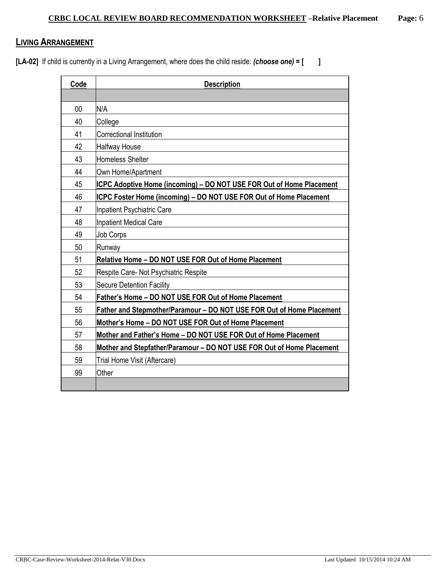### **LIVING ARRANGEMENT**

**[LA-02]** If child is currently in a Living Arrangement, where does the child reside: *(choose one)* **= [ ]**

| Code | <b>Description</b>                                                          |  |  |
|------|-----------------------------------------------------------------------------|--|--|
|      |                                                                             |  |  |
| 00   | N/A                                                                         |  |  |
| 40   | College                                                                     |  |  |
| 41   | Correctional Institution                                                    |  |  |
| 42   | Halfway House                                                               |  |  |
| 43   | Homeless Shelter                                                            |  |  |
| 44   | Own Home/Apartment                                                          |  |  |
| 45   | <b>ICPC Adoptive Home (incoming) - DO NOT USE FOR Out of Home Placement</b> |  |  |
| 46   | <b>ICPC Foster Home (incoming) - DO NOT USE FOR Out of Home Placement</b>   |  |  |
| 47   | Inpatient Psychiatric Care                                                  |  |  |
| 48   | Inpatient Medical Care                                                      |  |  |
| 49   | <b>Job Corps</b>                                                            |  |  |
| 50   | Runway                                                                      |  |  |
| 51   | Relative Home - DO NOT USE FOR Out of Home Placement                        |  |  |
| 52   | Respite Care- Not Psychiatric Respite                                       |  |  |
| 53   | <b>Secure Detention Facility</b>                                            |  |  |
| 54   | Father's Home - DO NOT USE FOR Out of Home Placement                        |  |  |
| 55   | Father and Stepmother/Paramour - DO NOT USE FOR Out of Home Placement       |  |  |
| 56   | Mother's Home - DO NOT USE FOR Out of Home Placement                        |  |  |
| 57   | Mother and Father's Home - DO NOT USE FOR Out of Home Placement             |  |  |
| 58   | Mother and Stepfather/Paramour - DO NOT USE FOR Out of Home Placement       |  |  |
| 59   | Trial Home Visit (Aftercare)                                                |  |  |
| 99   | Other                                                                       |  |  |
|      |                                                                             |  |  |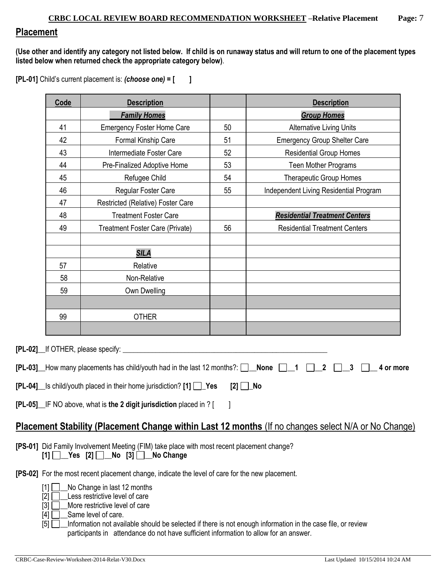## **Placement**

**(Use other and identify any category not listed below. If child is on runaway status and will return to one of the placement types listed below when returned check the appropriate category below)**.

**[PL-01]** Child's current placement is: *(choose one)* **= [ ]**

|    | Code                                                                                                                                                  | <b>Description</b>                                                                                  |          | <b>Description</b>                                                                                  |  |
|----|-------------------------------------------------------------------------------------------------------------------------------------------------------|-----------------------------------------------------------------------------------------------------|----------|-----------------------------------------------------------------------------------------------------|--|
|    |                                                                                                                                                       | <b>Family Homes</b>                                                                                 |          | <b>Group Homes</b>                                                                                  |  |
| 41 |                                                                                                                                                       | <b>Emergency Foster Home Care</b>                                                                   | 50       | <b>Alternative Living Units</b>                                                                     |  |
|    | 42                                                                                                                                                    | Formal Kinship Care                                                                                 | 51       | <b>Emergency Group Shelter Care</b>                                                                 |  |
|    | 43<br>Intermediate Foster Care                                                                                                                        |                                                                                                     | 52       | <b>Residential Group Homes</b>                                                                      |  |
|    | 44                                                                                                                                                    | Pre-Finalized Adoptive Home                                                                         | 53       | Teen Mother Programs                                                                                |  |
|    | 45                                                                                                                                                    | Refugee Child                                                                                       | 54       | <b>Therapeutic Group Homes</b>                                                                      |  |
|    | 46                                                                                                                                                    | Regular Foster Care                                                                                 | 55       | Independent Living Residential Program                                                              |  |
|    | 47                                                                                                                                                    | Restricted (Relative) Foster Care                                                                   |          |                                                                                                     |  |
|    | 48                                                                                                                                                    | <b>Treatment Foster Care</b>                                                                        |          | <b>Residential Treatment Centers</b>                                                                |  |
|    | 49                                                                                                                                                    | Treatment Foster Care (Private)                                                                     | 56       | <b>Residential Treatment Centers</b>                                                                |  |
|    |                                                                                                                                                       |                                                                                                     |          |                                                                                                     |  |
|    |                                                                                                                                                       | <b>SILA</b>                                                                                         |          |                                                                                                     |  |
|    | 57                                                                                                                                                    | Relative                                                                                            |          |                                                                                                     |  |
|    | 58                                                                                                                                                    | Non-Relative                                                                                        |          |                                                                                                     |  |
|    | 59                                                                                                                                                    | Own Dwelling                                                                                        |          |                                                                                                     |  |
|    |                                                                                                                                                       |                                                                                                     |          |                                                                                                     |  |
|    | 99                                                                                                                                                    | <b>OTHER</b>                                                                                        |          |                                                                                                     |  |
|    |                                                                                                                                                       |                                                                                                     |          |                                                                                                     |  |
|    |                                                                                                                                                       | [PL-02] lf OTHER, please specify:                                                                   |          |                                                                                                     |  |
|    |                                                                                                                                                       | <b>[PL-03]</b> How many placements has child/youth had in the last 12 months?: $\Box$ None $\Box$ 1 |          | $\mathbf{2}$<br>3<br>4 or more                                                                      |  |
|    |                                                                                                                                                       | [PL-04]_ls child/youth placed in their home jurisdiction? [1] □ Yes                                 | $[2]$ No |                                                                                                     |  |
|    |                                                                                                                                                       | [PL-05] IF NO above, what is the 2 digit jurisdiction placed in ? [                                 |          |                                                                                                     |  |
|    |                                                                                                                                                       |                                                                                                     |          |                                                                                                     |  |
|    |                                                                                                                                                       |                                                                                                     |          | Placement Stability (Placement Change within Last 12 months (If no changes select N/A or No Change) |  |
|    | [PS-01] Did Family Involvement Meeting (FIM) take place with most recent placement change?<br>$[1]$ $\Box$ Yes $[2]$ $\Box$ No $[3]$ $\Box$ No Change |                                                                                                     |          |                                                                                                     |  |
|    | <b>[PS-02]</b> For the most recent placement change, indicate the level of care for the new placement.                                                |                                                                                                     |          |                                                                                                     |  |
|    | No Change in last 12 months<br>[1]                                                                                                                    |                                                                                                     |          |                                                                                                     |  |

[2] **\_\_\_\_** Less restrictive level of care

[3] **D**\_More restrictive level of care

 $[4]$   $\Box$  Same level of care.

[5]  $\Box$  Information not available should be selected if there is not enough information in the case file, or review participants in attendance do not have sufficient information to allow for an answer.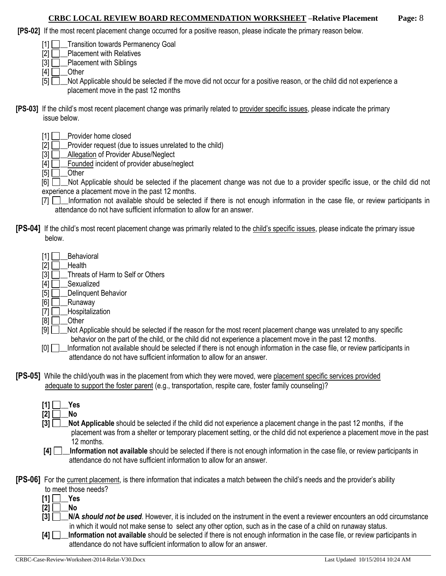### **CRBC LOCAL REVIEW BOARD RECOMMENDATION WORKSHEET –Relative Placement Page:** 8

- **[PS-02]** If the most recent placement change occurred for a positive reason, please indicate the primary reason below.
	- [1] **Transition towards Permanency Goal**
	- $[2]$   $\Box$  Placement with Relatives
	- $[3]$  Placement with Siblings

 $[4]$  Other

- [5] Not Applicable should be selected if the move did not occur for a positive reason, or the child did not experience a placement move in the past 12 months
- **[PS-03]** If the child's most recent placement change was primarily related to provider specific issues, please indicate the primary issue below.
	- [1] Provider home closed
	- [2] **D**\_Provider request (due to issues unrelated to the child)
	- [3] **Allegation of Provider Abuse/Neglect**
	- $[4]$   $\Box$  Founded incident of provider abuse/neglect

 $[5]$  Other

[6]  $\Box$  Not Applicable should be selected if the placement change was not due to a provider specific issue, or the child did not experience a placement move in the past 12 months.

- [7]  $\Box$  Information not available should be selected if there is not enough information in the case file, or review participants in attendance do not have sufficient information to allow for an answer.
- **[PS-04]** If the child's most recent placement change was primarily related to the child's specific issues, please indicate the primary issue below.
	- $[1]$  Behavioral
	- $[2]$  Health
	- [3] **Threats of Harm to Self or Others**
	- [4] **D**\_Sexualized
	- $[5]$  Delinquent Behavior
	- $[6]$  Runaway
	- [7] **\_\_\_Hospitalization**
	- $[8]$  Other
	- [9]  $\Box$  Not Applicable should be selected if the reason for the most recent placement change was unrelated to any specific behavior on the part of the child, or the child did not experience a placement move in the past 12 months.
	- [0]  $\Box$  Information not available should be selected if there is not enough information in the case file, or review participants in attendance do not have sufficient information to allow for an answer.
- **[PS-05]** While the child/youth was in the placement from which they were moved, were placement specific services provided adequate to support the foster parent (e.g., transportation, respite care, foster family counseling)?
	- $[1] \Box$  Yes  $[2]$  No
	- **[3]**  $\Box$  **Not Applicable** should be selected if the child did not experience a placement change in the past 12 months, if the placement was from a shelter or temporary placement setting, or the child did not experience a placement move in the past 12 months.
	- **[4] \_\_Information not available** should be selected if there is not enough information in the case file, or review participants in attendance do not have sufficient information to allow for an answer.

**[PS-06]** For the current placement, is there information that indicates a match between the child's needs and the provider's ability

- to meet those needs?
- $[1]$   $\Box$  Yes
- **[2] \_\_No**
- **[3] \_\_N/A** *should not be used*. However, it is included on the instrument in the event a reviewer encounters an odd circumstance in which it would not make sense to select any other option, such as in the case of a child on runaway status.
- **[4] \_\_Information not available** should be selected if there is not enough information in the case file, or review participants in attendance do not have sufficient information to allow for an answer.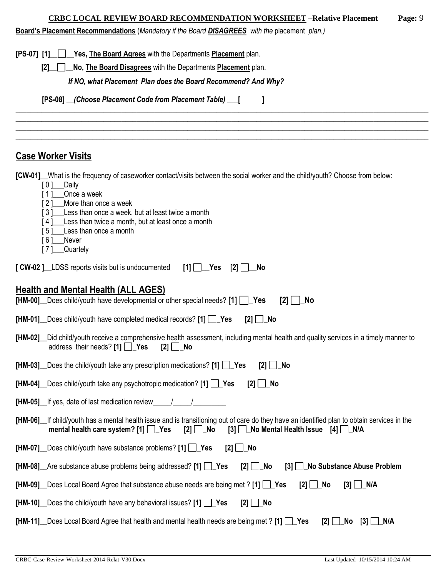### **CRBC LOCAL REVIEW BOARD RECOMMENDATION WORKSHEET –Relative Placement Page:** 9

**Board's Placement Recommendations** (*Mandatory if the Board DISAGREES with the* placement *plan.)*

| <u>Board S Placement Recommendations</u> ( <i>Mandatory in the board DisAGREES</i> With the placement <i>plan.)</i>                                                                                                                                   |
|-------------------------------------------------------------------------------------------------------------------------------------------------------------------------------------------------------------------------------------------------------|
| [PS-07] [1] Yes, The Board Agrees with the Departments Placement plan.                                                                                                                                                                                |
| No, The Board Disagrees with the Departments Placement plan.<br>[2]                                                                                                                                                                                   |
| If NO, what Placement Plan does the Board Recommend? And Why?                                                                                                                                                                                         |
| [PS-08] __(Choose Placement Code from Placement Table) ___ [                                                                                                                                                                                          |
|                                                                                                                                                                                                                                                       |
|                                                                                                                                                                                                                                                       |
| <b>Case Worker Visits</b>                                                                                                                                                                                                                             |
| [CW-01] What is the frequency of caseworker contact/visits between the social worker and the child/youth? Choose from below:                                                                                                                          |
| [0]<br>_Daily<br>Once a week<br>[1]                                                                                                                                                                                                                   |
| More than once a week<br>[2]                                                                                                                                                                                                                          |
| Less than once a week, but at least twice a month<br>$\lceil 3 \rceil$<br>Less than twice a month, but at least once a month<br>[4]                                                                                                                   |
| Less than once a month<br>[5]                                                                                                                                                                                                                         |
| [6]<br>Never<br>Quartely<br>[7]                                                                                                                                                                                                                       |
| [CW-02]_LDSS reports visits but is undocumented<br>$[1]$ $\Box$ Yes<br>$\boxed{2}$<br>- No                                                                                                                                                            |
|                                                                                                                                                                                                                                                       |
| Health and Mental Health (ALL AGES)                                                                                                                                                                                                                   |
| [HM-00] Does child/youth have developmental or other special needs? $[1]$ Yes<br>$\lceil 2 \rceil$<br>∣ No                                                                                                                                            |
| $[HM-01]$ Does child/youth have completed medical records? $[1]$ $\Box$ Yes<br>$[2]$ $\Box$ No                                                                                                                                                        |
| [HM-02] Lid child/youth receive a comprehensive health assessment, including mental health and quality services in a timely manner to<br>address their needs? [1] $\Box$ Yes<br>$[2]$ $\Box$ No                                                       |
| [HM-03] Does the child/youth take any prescription medications? [1] $\Box$ Yes<br>No<br>[2]                                                                                                                                                           |
| [HM-04] Does child/youth take any psychotropic medication? [1] Pes<br>$[2]$ $\Box$ No                                                                                                                                                                 |
| [HM-05] If yes, date of last medication review                                                                                                                                                                                                        |
| [HM-06] If child/youth has a mental health issue and is transitioning out of care do they have an identified plan to obtain services in the<br>mental health care system? $[1]$ $\Box$ Yes<br>[3] No Mental Health Issue [4] JN/A<br>$\boxed{2}$   No |
| [HM-07] Does child/youth have substance problems? [1] Pes<br>_No<br>$[2]$                                                                                                                                                                             |
| [HM-08] Are substance abuse problems being addressed? [1] \crea<br><b>No Substance Abuse Problem</b><br>$[2]$ $\Box$ No<br>$\left\lceil 3 \right\rceil \Box$                                                                                          |
| [HM-09] Does Local Board Agree that substance abuse needs are being met ? [1] Yes<br>$[3]$ $\Box$ N/A<br>$[2]$ $\Box$ No                                                                                                                              |
| $[HM-10]$ Does the child/youth have any behavioral issues? [1] $\Box$ Yes<br>$[2]$ $\Box$ No                                                                                                                                                          |
| [HM-11] _ Does Local Board Agree that health and mental health needs are being met ? [1] $\Box$ Yes<br>[2]<br>_No<br>$[3]$ $\Box$ N/A                                                                                                                 |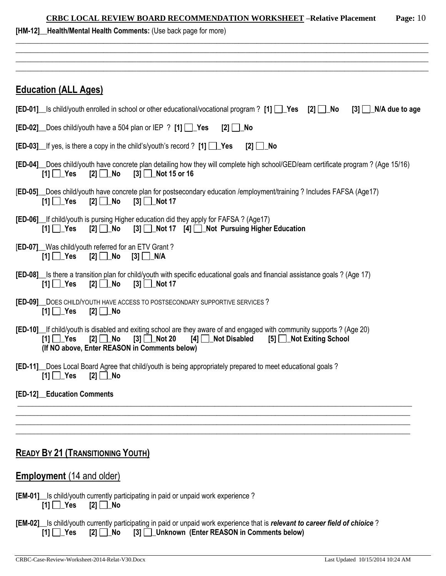| Page: $10$<br><b>CRBC LOCAL REVIEW BOARD RECOMMENDATION WORKSHEET -Relative Placement</b>                                                                                                                                                   |  |  |  |  |  |
|---------------------------------------------------------------------------------------------------------------------------------------------------------------------------------------------------------------------------------------------|--|--|--|--|--|
| [HM-12] Health/Mental Health Comments: (Use back page for more)                                                                                                                                                                             |  |  |  |  |  |
|                                                                                                                                                                                                                                             |  |  |  |  |  |
|                                                                                                                                                                                                                                             |  |  |  |  |  |
| <b>Education (ALL Ages)</b>                                                                                                                                                                                                                 |  |  |  |  |  |
| <b>[ED-01]</b> Is child/youth enrolled in school or other educational/vocational program ? [1] $\Box$ Yes [2] $\Box$ No<br>$[3]$ N/A due to age                                                                                             |  |  |  |  |  |
| <b>[ED-02]</b> Does child/youth have a 504 plan or IEP ? [1] $\Box$ Yes<br>$[2]$ $\Box$ No                                                                                                                                                  |  |  |  |  |  |
| <b>[ED-03]</b> If yes, is there a copy in the child's/youth's record ? [1] $\Box$ Yes<br>$[2]$ No                                                                                                                                           |  |  |  |  |  |
| [ED-04] Does child/youth have concrete plan detailing how they will complete high school/GED/earn certificate program? (Age 15/16)<br>[1] $\Box$ Yes<br>$\boxed{3}$ $\boxed{7}$ Not 15 or 16<br>[2] No                                      |  |  |  |  |  |
| [ED-05] Does child/youth have concrete plan for postsecondary education /employment/training ? Includes FAFSA (Age17)<br>[2] $\Box$ No<br>[1] $\Box$ Yes<br>$[3]$ Mot 17                                                                    |  |  |  |  |  |
| [ED-06] If child/youth is pursing Higher education did they apply for FAFSA? (Age17)<br>[3] Not 17 [4] Not Pursuing Higher Education<br>$[1]$ $\Box$ Yes<br>$[2]$ $\Box$ No                                                                 |  |  |  |  |  |
| [ED-07] Was child/youth referred for an ETV Grant?<br>$[2]$ No $[3]$ N/A<br>[1] $□$ Yes                                                                                                                                                     |  |  |  |  |  |
| [ED-08] Is there a transition plan for child/youth with specific educational goals and financial assistance goals ? (Age 17)<br>$[3]$ Not 17<br>$[1]$ $\Box$ Yes<br>$[2]$ No                                                                |  |  |  |  |  |
| <b>[ED-09]</b> DOES CHILD/YOUTH HAVE ACCESS TO POSTSECONDARY SUPPORTIVE SERVICES ?<br>$[1]$ $\Box$ Yes<br>[2] ∐_No                                                                                                                          |  |  |  |  |  |
| [ED-10] If child/youth is disabled and exiting school are they aware of and engaged with community supports? (Age 20)<br>[1] Nos [2] No [3] Not 20 [4] Not Disabled [5] Not Exiting School<br>(If NO above, Enter REASON in Comments below) |  |  |  |  |  |
| [ED-11] Does Local Board Agree that child/youth is being appropriately prepared to meet educational goals?<br>[1] $\Box$ Yes<br>$[2]$ No                                                                                                    |  |  |  |  |  |
| [ED-12]_Education Comments                                                                                                                                                                                                                  |  |  |  |  |  |
|                                                                                                                                                                                                                                             |  |  |  |  |  |
|                                                                                                                                                                                                                                             |  |  |  |  |  |
| <b>READY BY 21 (TRANSITIONING YOUTH)</b>                                                                                                                                                                                                    |  |  |  |  |  |
| <b>Employment</b> (14 and older)                                                                                                                                                                                                            |  |  |  |  |  |
| [EM-01] Is child/youth currently participating in paid or unpaid work experience?<br>$[1]$ $\Box$ Yes $[2]$ $\Box$ No                                                                                                                       |  |  |  |  |  |
| [EM-02] Is child/youth currently participating in paid or unpaid work experience that is relevant to career field of chioice?<br>[2] No [3] Unknown (Enter REASON in Comments below)<br>$[1]$ $\Box$ Yes                                    |  |  |  |  |  |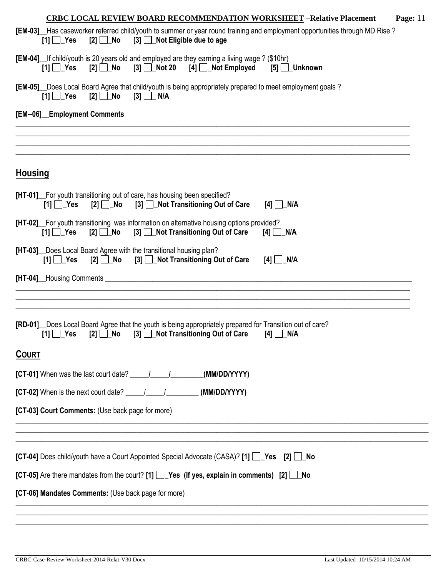| <b>CRBC LOCAL REVIEW BOARD RECOMMENDATION WORKSHEET - Relative Placement</b><br>Page: $11$                                                                                                                  |
|-------------------------------------------------------------------------------------------------------------------------------------------------------------------------------------------------------------|
| [EM-03] Has caseworker referred child/youth to summer or year round training and employment opportunities through MD Rise?<br>$[2]$ No $[3]$ Not Eligible due to age<br>$[1]$ $\Box$ Yes                    |
| [EM-04] If child/youth is 20 years old and employed are they earning a living wage ? (\$10hr)<br>$[2]$ No $[3]$ Not 20 $[4]$ Not Employed<br>$[1]$ $\Box$ Yes<br>$[5]$ Unknown                              |
| [EM-05] Does Local Board Agree that child/youth is being appropriately prepared to meet employment goals?<br>$[2]$ No $[3]$ N/A<br>$[1]$ $\Box$ Yes                                                         |
| [EM--06]_Employment Comments                                                                                                                                                                                |
|                                                                                                                                                                                                             |
| <b>Housing</b>                                                                                                                                                                                              |
| [HT-01] For youth transitioning out of care, has housing been specified?<br>$[2]$ No<br>[3] Not Transitioning Out of Care<br>$[1]$ $\Box$ Yes<br>$[4]$ N/A                                                  |
| [HT-02] For youth transitioning was information on alternative housing options provided?<br>$[2]$ $\Box$ No<br>[3] □ Not Transitioning Out of Care<br>$[1]$ $\Box$ Yes<br>$[4]$ N/A                         |
| [HT-03] Does Local Board Agree with the transitional housing plan?<br>[3] <b>Not Transitioning Out of Care</b><br>$[1]$ $\Box$ Yes<br>$[4]$ $\Box$ N/A                                                      |
|                                                                                                                                                                                                             |
|                                                                                                                                                                                                             |
| [RD-01] _Does Local Board Agree that the youth is being appropriately prepared for Transition out of care?<br>[3] Not Transitioning Out of Care<br>[2] <b>□</b> _No<br>$[1]$ $\Box$ Yes<br>$[4]$ $\Box$ N/A |
| <b>COURT</b>                                                                                                                                                                                                |
| (MM/DD/YYYY)                                                                                                                                                                                                |
| [CT-02] When is the next court date? $\frac{1}{\sqrt{1-\frac{1}{2}}}\$ (MM/DD/YYYY)                                                                                                                         |
| [CT-03] Court Comments: (Use back page for more)                                                                                                                                                            |
|                                                                                                                                                                                                             |
| [CT-04] Does child/youth have a Court Appointed Special Advocate (CASA)? [1] [ ] Yes [2] [ ] No                                                                                                             |
| [CT-05] Are there mandates from the court? [1] $\Box$ Yes (If yes, explain in comments) [2] $\Box$ No                                                                                                       |
| [CT-06] Mandates Comments: (Use back page for more)                                                                                                                                                         |
|                                                                                                                                                                                                             |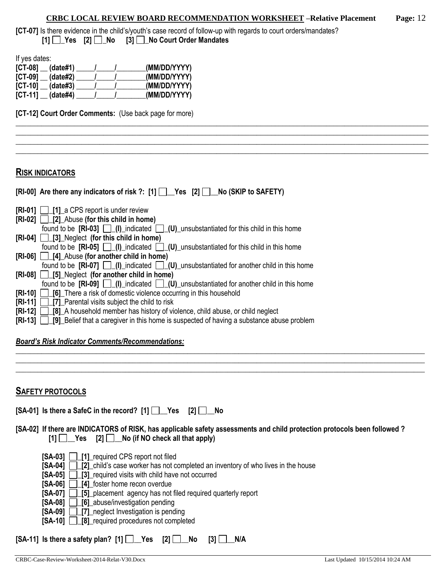#### **CRBC LOCAL REVIEW BOARD RECOMMENDATION WORKSHEET –Relative Placement Page:** 12

\_\_\_\_\_\_\_\_\_\_\_\_\_\_\_\_\_\_\_\_\_\_\_\_\_\_\_\_\_\_\_\_\_\_\_\_\_\_\_\_\_\_\_\_\_\_\_\_\_\_\_\_\_\_\_\_\_\_\_\_\_\_\_\_\_\_\_\_\_\_\_\_\_\_\_\_\_\_\_\_\_\_\_\_\_\_\_\_\_\_\_\_\_\_\_\_\_\_\_\_\_\_\_\_\_\_\_\_\_\_\_\_\_ \_\_\_\_\_\_\_\_\_\_\_\_\_\_\_\_\_\_\_\_\_\_\_\_\_\_\_\_\_\_\_\_\_\_\_\_\_\_\_\_\_\_\_\_\_\_\_\_\_\_\_\_\_\_\_\_\_\_\_\_\_\_\_\_\_\_\_\_\_\_\_\_\_\_\_\_\_\_\_\_\_\_\_\_\_\_\_\_\_\_\_\_\_\_\_\_\_\_\_\_\_\_\_\_\_\_\_\_\_\_\_\_\_ \_\_\_\_\_\_\_\_\_\_\_\_\_\_\_\_\_\_\_\_\_\_\_\_\_\_\_\_\_\_\_\_\_\_\_\_\_\_\_\_\_\_\_\_\_\_\_\_\_\_\_\_\_\_\_\_\_\_\_\_\_\_\_\_\_\_\_\_\_\_\_\_\_\_\_\_\_\_\_\_\_\_\_\_\_\_\_\_\_\_\_\_\_\_\_\_\_\_\_\_\_\_\_\_\_\_\_\_\_\_\_\_\_ \_\_\_\_\_\_\_\_\_\_\_\_\_\_\_\_\_\_\_\_\_\_\_\_\_\_\_\_\_\_\_\_\_\_\_\_\_\_\_\_\_\_\_\_\_\_\_\_\_\_\_\_\_\_\_\_\_\_\_\_\_\_\_\_\_\_\_\_\_\_\_\_\_\_\_\_\_\_\_\_\_\_\_\_\_\_\_\_\_\_\_\_\_\_\_\_\_\_\_\_\_\_\_\_\_\_\_\_\_\_\_\_\_

**[CT-07]** Is there evidence in the child's/youth's case record of follow-up with regards to court orders/mandates? **[1] \_Yes [2] \_No [3] \_No Court Order Mandates**

If yes dates:

| $[CI-08]$<br>(data#1)                     | (MM/DD/YYYY) |
|-------------------------------------------|--------------|
| $\ulcorner$ CT-09 $\ulcorner$<br>(data#2) | (MM/DD/YYYY) |
| $[CI-10]$<br>(data#3)                     | (MM/DD/YYYY) |
| $[CI-11]$<br>(data#4)                     | (MM/DD/YYYY) |

**[CT-12] Court Order Comments:** (Use back page for more)

#### **RISK INDICATORS**

| [RI-00] Are there any indicators of risk ?: [1] Pes [2] No (SKIP to SAFETY)                                                                                                                                                                                                   |
|-------------------------------------------------------------------------------------------------------------------------------------------------------------------------------------------------------------------------------------------------------------------------------|
|                                                                                                                                                                                                                                                                               |
| $\begin{bmatrix} RI-01 \end{bmatrix}$   $\begin{bmatrix} 1 \end{bmatrix}$ a CPS report is under review                                                                                                                                                                        |
| $[RI-02]$ [2] Abuse (for this child in home)                                                                                                                                                                                                                                  |
| found to be $[\text{RI-03}]$ $\Box$ (I) indicated $\Box$ (U) unsubstantiated for this child in this home                                                                                                                                                                      |
| $[RI-04]$   [3] Neglect (for this child in home)                                                                                                                                                                                                                              |
| found to be $[RI-05]$ $[$ $[$ $]$ $[$ $]$ $[$ $]$ $[$ $]$ $[$ $]$ $[$ $[$ $]$ $[$ $[$ $]$ $[$ $]$ $[$ $]$ $[$ $]$ $[$ $]$ $[$ $]$ $[$ $]$ $[$ $]$ $[$ $]$ $[$ $]$ $[$ $]$ $[$ $]$ $[$ $]$ $[$ $]$ $[$ $]$ $[$ $]$ $[$ $]$ $[$ $]$ $[$ $]$ $[$ $]$ $[$ $]$ $[$ $]$ $[$ $]$ $[$ |
| [RI-06] [4] Abuse (for another child in home)                                                                                                                                                                                                                                 |
| found to be $[RI-07]$ $\Box$ $(I)$ indicated $\Box$ $(U)$ unsubstantiated for another child in this home                                                                                                                                                                      |
| $[RI-08] \Box [5]$ Neglect (for another child in home)                                                                                                                                                                                                                        |
| found to be $[RI-09]$ $\Box$ (I) indicated $\Box$ (U) unsubstantiated for another child in this home                                                                                                                                                                          |
| $\begin{bmatrix} RI-10 \end{bmatrix}$ $\begin{bmatrix} 6 \end{bmatrix}$ There a risk of domestic violence occurring in this household                                                                                                                                         |
| <b>[RI-11]</b> [7] Parental visits subject the child to risk                                                                                                                                                                                                                  |
| <b>[RI-12]</b> [8] A household member has history of violence, child abuse, or child neglect                                                                                                                                                                                  |
| <b>[RI-13]</b> [9] Belief that a caregiver in this home is suspected of having a substance abuse problem                                                                                                                                                                      |

#### *Board's Risk Indicator Comments/Recommendations:*

| <b>SAFETY PROTOCOLS</b> |  |
|-------------------------|--|

**[SA-01] Is there a SafeC in the record? [1] \_\_Yes [2] \_\_No**

### **[SA-02] If there are INDICATORS of RISK, has applicable safety assessments and child protection protocols been followed ?**   $[1]$   $[2]$   $[2]$   $[3]$   $[3]$   $[5]$   $[5]$   $[6]$   $[6]$   $[6]$   $[6]$   $[6]$   $[6]$   $[6]$   $[6]$   $[6]$   $[6]$   $[6]$   $[6]$   $[6]$   $[6]$   $[6]$   $[6]$   $[6]$   $[6]$   $[6]$   $[6]$   $[6]$   $[6]$   $[6]$   $[6]$   $[6]$   $[6]$   $[6]$   $[6]$   $[6]$   $[6]$

\_\_\_\_\_\_\_\_\_\_\_\_\_\_\_\_\_\_\_\_\_\_\_\_\_\_\_\_\_\_\_\_\_\_\_\_\_\_\_\_\_\_\_\_\_\_\_\_\_\_\_\_\_\_\_\_\_\_\_\_\_\_\_\_\_\_\_\_\_\_\_\_\_\_\_\_\_\_\_\_\_\_\_\_\_\_\_\_\_\_\_\_\_\_\_\_\_\_\_\_\_\_\_\_\_\_\_\_\_\_\_\_ \_\_\_\_\_\_\_\_\_\_\_\_\_\_\_\_\_\_\_\_\_\_\_\_\_\_\_\_\_\_\_\_\_\_\_\_\_\_\_\_\_\_\_\_\_\_\_\_\_\_\_\_\_\_\_\_\_\_\_\_\_\_\_\_\_\_\_\_\_\_\_\_\_\_\_\_\_\_\_\_\_\_\_\_\_\_\_\_\_\_\_\_\_\_\_\_\_\_\_\_\_\_\_\_\_\_\_\_\_\_\_\_ \_\_\_\_\_\_\_\_\_\_\_\_\_\_\_\_\_\_\_\_\_\_\_\_\_\_\_\_\_\_\_\_\_\_\_\_\_\_\_\_\_\_\_\_\_\_\_\_\_\_\_\_\_\_\_\_\_\_\_\_\_\_\_\_\_\_\_\_\_\_\_\_\_\_\_\_\_\_\_\_\_\_\_\_\_\_\_\_\_\_\_\_\_\_\_\_\_\_\_\_\_\_\_\_\_\_\_\_\_\_\_\_

- **[SA-03] \_[1]\_**required CPS report not filed
- **[SA-04] [2]** child's case worker has not completed an inventory of who lives in the house
- **[SA-05] \_[3]\_**required visits with child have not occurred
- **[SA-06]**  $\boxed{14}$  foster home recon overdue
- **[SA-07] \_[5]\_**placement agency has not filed required quarterly report
- **[SA-08] [6]** abuse/investigation pending
- **[SA-09]**  $\Box$  **[7]** neglect Investigation is pending
- **[SA-10] [8]** required procedures not completed

| [SA-11] Is there a safety plan? [1] $\Box$ Yes [2] $\Box$ No [3] $\Box$ N/A |  |  |  |
|-----------------------------------------------------------------------------|--|--|--|
|-----------------------------------------------------------------------------|--|--|--|